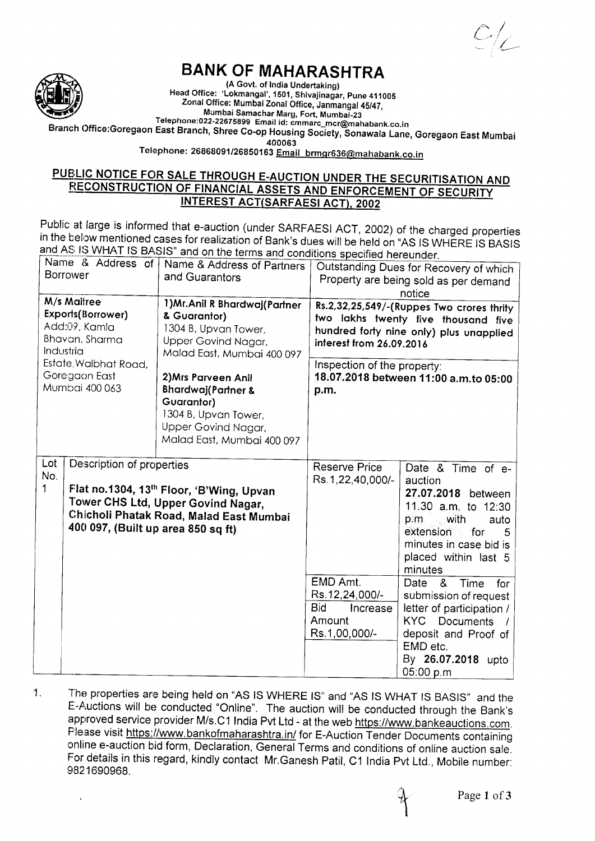$C/\mathcal{L}$ 



## BANK OF MAHARASHTRA

(A Govt. of India Undertaking) Head Office: 'Lokmangal', 1501, Shivajinagar, Pune 411005 Zonal Office: Mumbai Zonal Office, ianirangal 45/47, Mumbai Samachar Marg, Fort, Mumbai-23<br>Telephone:022-22675899 Email id: cmmarc\_mcr@mahabank.co.in

Branch Office:Goregaon East Branch, Shree Co-op Housing Society, Sonawala Lane, Goregaon East Mumbai

400063

Telephone: 26869091/26850163 Email brmqr636@mahabank.co.in

## <u>PUBLIC NOTICE FOR SALE THROUGH E-AUCTION UNDER THE SECURITISATION AND</u> **RECONSTRUCTION OF FINANCIAL ASSETS AND ENFORCEMENT OF SECURITY INTEREST ACT(SARFAESI ACT), 2002**

Public at large is informed that e-auction (under SARFAESI ACT, 2002) of the charged<br>in the below mentioned cases for realization of Bank's dues will be held on "AS IS WHERE<br>and AS IS WHAT IS BASIS" and on the terms and co Public at large is informed that e-auction (under SARFAESI ACT, 2002) of the charged properties IS BASIS

| and AS is WHAT IS BASIS" and on the terms and conditions specified hereunder.<br>Name & Address of   Name & Address of Partners |                                                                                                                                                                                              |                                                                                                                                                 |                                                                                                                                                                                        |                                                                                                                                                                                            |
|---------------------------------------------------------------------------------------------------------------------------------|----------------------------------------------------------------------------------------------------------------------------------------------------------------------------------------------|-------------------------------------------------------------------------------------------------------------------------------------------------|----------------------------------------------------------------------------------------------------------------------------------------------------------------------------------------|--------------------------------------------------------------------------------------------------------------------------------------------------------------------------------------------|
| <b>Borrower</b>                                                                                                                 |                                                                                                                                                                                              |                                                                                                                                                 | Outstanding Dues for Recovery of which                                                                                                                                                 |                                                                                                                                                                                            |
|                                                                                                                                 |                                                                                                                                                                                              | and Guarantors                                                                                                                                  | Property are being sold as per demand                                                                                                                                                  |                                                                                                                                                                                            |
| M/s Maitree                                                                                                                     |                                                                                                                                                                                              |                                                                                                                                                 |                                                                                                                                                                                        | notice                                                                                                                                                                                     |
| Exports(Borrower)<br>Add:09, Kamla<br>Bhavan, Sharma<br>Industria<br>Estate, Walbhat Road,                                      |                                                                                                                                                                                              | 1) Mr. Anil R Bhardwaj (Partner<br>& Guarantor)<br>1304 B, Upvan Tower,<br>Upper Govind Nagar,<br>Malad East, Mumbai 400 097                    | Rs.2,32,25,549/-(Ruppes Two crores thrity<br>two lakhs twenty five thousand five<br>hundred forty nine only) plus unapplied<br>interest from 26.09.2016<br>Inspection of the property: |                                                                                                                                                                                            |
| Goregaon East<br>Mumbai 400 063                                                                                                 |                                                                                                                                                                                              | 2) Mrs Parveen Anil<br><b>Bhardwaj(Partner &amp;</b><br>Guarantor)<br>1304 B, Upvan Tower,<br>Upper Govind Nagar,<br>Malad East, Mumbai 400 097 | p.m.                                                                                                                                                                                   | 18.07.2018 between 11:00 a.m.to 05:00                                                                                                                                                      |
| Lot<br>No.<br>1                                                                                                                 | Description of properties<br>Flat no.1304, 13th Floor, 'B'Wing, Upvan<br>Tower CHS Ltd, Upper Govind Nagar,<br>Chicholi Phatak Road, Malad East Mumbai<br>400 097, (Built up area 850 sq ft) |                                                                                                                                                 | Reserve Price<br>Rs.1,22,40,000/-                                                                                                                                                      | Date & Time of e-<br>auction<br>27.07.2018 between<br>11.30 a.m. to 12:30<br>with<br>auto<br>p.m<br>extension<br>for for<br>5<br>minutes in case bid is<br>placed within last 5<br>minutes |
|                                                                                                                                 |                                                                                                                                                                                              |                                                                                                                                                 | EMD Amt.<br>Rs.12,24,000/-<br><b>Bid</b><br>Increase<br>Amount<br>Rs.1,00,000/-                                                                                                        | &<br>Time<br>Date<br>for<br>submission of request<br>letter of participation /<br>KYC Documents<br>deposit and Proof of<br>EMD etc.<br>By 26.07.2018 upto<br>05:00 p.m                     |

4 The properties are being held on "AS IS WHERE IS" and "AS IS WHAT IS BASIS" and the E-Auctions will be conducted "Online". The auction will be conducted through the Bank's approved service provider M/s.C1 India Pvt Ltd - at the web https://www.bankeauctions.com. Flease visit https://www.bankofmaharashtra.in/ for E-Auction Tender Documents containing online e-auction bid form, Declaration, General Terms and conditions of online auction sale. For details in this regard, kindly contact Mr.Ganesh Patil, C1 India Pvt Ltd., Mobile number: 9821690968.

il I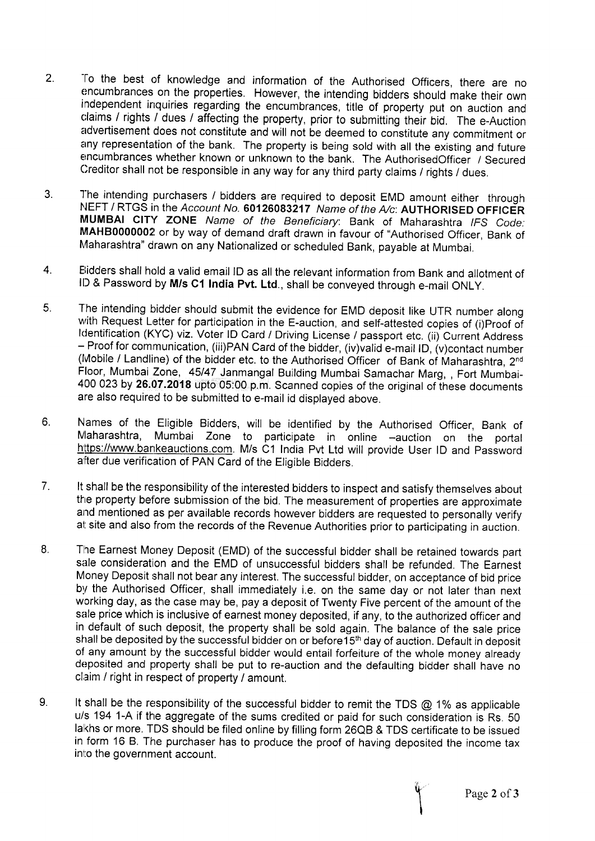- 2. To the best of knowledge and information of the Authorised Officers, there are no encumbrances on the properties. However, the intending bidders should make their own independent inquiries regarding the encumbrances, title of property put on auction and claims / rights / dues / affecting the property, prior to submitting their bid. The e-Auction advertisement does not constitute and will not be deemed to constitute any commitment or any representation of the bank. The property is being sold with all the existing and future encumbrances whether known or unknown to the bank. The AuthorisedOfficer / Secured Creditor shall not be responsible in any way for any third party claims / rights / dues.
- The intending purchasers / bidders are required to deposit EMD amount either through NEFT / RTGS in the Account No. 60126083217 Name of the A/c: AUTHORISED OFFICER MUMBAI CITY ZONE Name of the Beneficiary: Bank of Maharashtra IFS Code: MAHB0000002 or by way of demand draft drawn in favour of "Authorised Officer, Bank of Maharashtra" drawn on any Nationalized or scheduled Bank, payable at Mumbai. 3.
- Eiidders shall hold a valid email lD as all the relevant information from Bank and allotment of ID & Password by M/s C1 India Pvt. Ltd., shall be conveyed through e-mail ONLY. 4.
- The intending bidder should submit the evidence for EMD deposit like UTR number along with Request Letter for participation in the E-auction, and self-attested copies of (i)Proof of Identification (KYC) viz. Voter ID Card / Driving License / passport etc. (ii) Current Address - Proof for communication, (iii)PAN Card of the bidder, (iv)valid e-mail lD, (v)contact number (Mobile / Landline) of the bidder etc. to the Authorised Officer of Bank of Maharashtra, 2<sup>nd</sup> Floor, Mumbai Zone, 45/47 Janmangal Building Mumbai Samachar Marg, , Fort Mumbai-400 023 by 26.07.2018 upto 05:00 p.m. Scanned copies of the original of these documents are also required to be submitted to e-mail id displayed above. 6
- 6. Names of the Eligible Bidders, will be identified by the Authorised Officer, Bank of Maharashtra, Mumbai Zone to participate in online -auction on the portal https://www.bankeauctions.com. M/s C1 India Pvt Ltd will provide User ID and Password after due verification of PAN Card of the Eligible Bidders.
- It shall be the responsibility of the interested bidders to inspect and satisfy themselves about the property before submission of the bid. The measurement of properties are approximate and mentioned as per available records however bidders are requested to personally verify at site and also from the records of the Revenue Authorities prior to participating in auction. 7.
- The Earnest Money Deposit (EMD) of the successful bidder shall be retained towards part sale consideration and the EMD of unsuccessful bidders shall be refunded. The Earnest Money Deposit shall not bear any interest. The successful bidder, on acceptance of bid price by the Authorised Officer, shall immediately i.e. on the same day or not later than next working day, as the case may be, pay a deposit of Twenty Five percent of the amount of the sale price which is inclusive of earnest money deposited, if any, to the authorized officer and in default of such deposit, the property shall be sold again. The balance of the sale price shall be deposited by the successful bidder on or before 15<sup>th</sup> day of auction. Default in deposit of any amount by the successful bidder would entail forfeiture of the whole money already deposited and property shall be put to re-auction and the defaulting bidder shall have no claim / right in respect of property / amount.  $8.$
- It shall be the responsibility of the successful bidder to remit the TDS  $@$  1% as applicable u/s 194 1-A if the aggregate of the sums credited or paid for such consideration is Rs. 50 lakhs or more. TDS should be filed online by filling form 26QB & TDS certificate to be issued in form 16 B. The purchaser has to produce the proof of having deposited the income tax into the government account. v.

Page 2 of 3